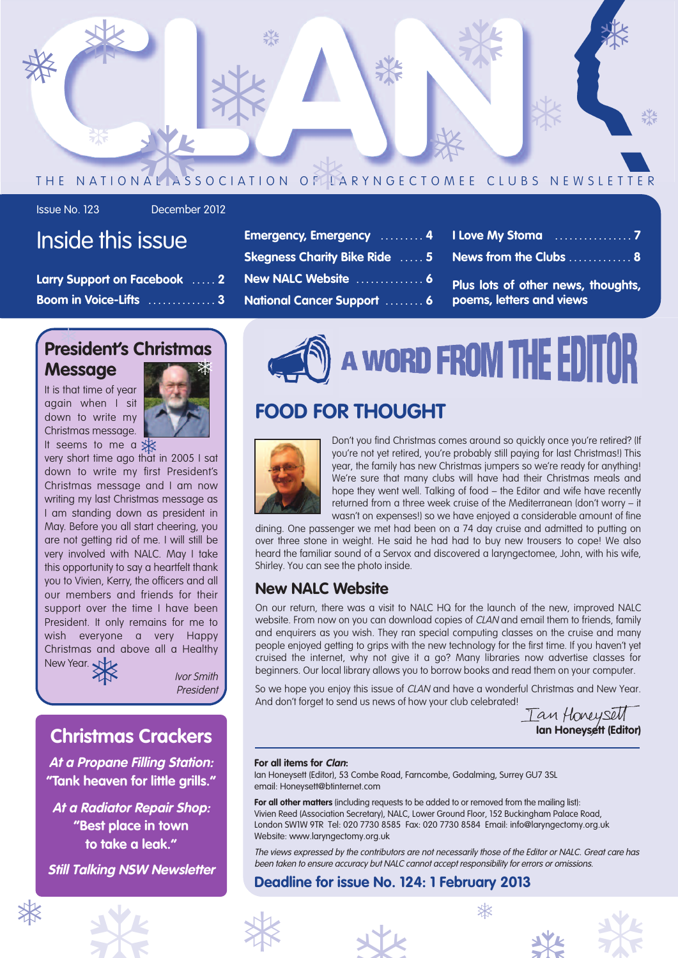

**Emergency, Emergency . . . . . . . . . 4 Skegness Charity Bike Ride . . . . . 5 New NALC Website . . . . . . . . . . . . . . 6 National Cancer Support . . . . . . . . 6**

Issue No. 123 December 2012

### Inside this issue

| Larry Support on Facebook  2 |  |
|------------------------------|--|
| <b>Boom in Voice-Lifts 3</b> |  |

| <b>President's Christmas</b> |  |
|------------------------------|--|
| <b>Message</b>               |  |

It is that time of year again when I sit down to write my Christmas message.  $\frac{1}{3}$  of the message.



very short time ago that in 2005 I sat down to write my first President's Christmas message and I am now writing my last Christmas message as I am standing down as president in May. Before you all start cheering, you are not getting rid of me. I will still be very involved with NALC. May I take this opportunity to say a heartfelt thank you to Vivien, Kerry, the officers and all our members and friends for their support over the time I have been President. It only remains for me to wish everyone a very Happy Christmas and above all a Healthy<br>New Year.  $\overbrace{\phantom{xxxxx}}$  *Ivor Smith* New Year.

Ivor Smith President

### **Christmas Crackers**

**At <sup>a</sup> Propane Filling Station: "Tank heaven for little grills."**

**At <sup>a</sup> Radiator Repair Shop: "Best place in town to take a leak."**

**Still Talking NSW Newsletter**



### **FOOD FOR THOUGHT**



Don't you find Christmas comes around so quickly once you're retired? (If you're not yet retired, you're probably still paying for last Christmas!) This year, the family has new Christmas jumpers so we're ready for anything! We're sure that many clubs will have had their Christmas meals and hope they went well. Talking of food – the Editor and wife have recently returned from a three week cruise of the Mediterranean (don't worry – it wasn't on expenses!) so we have enjoyed a considerable amount of fine

**I Love My Stoma . . . . . . . . . . . . . . . . 7 News from the Clubs . . . . . . . . . . . . . 8**

**Plus lots of other news, thoughts,**

**poems, letters and views**

dining. One passenger we met had been on a 74 day cruise and admitted to putting on over three stone in weight. He said he had had to buy new trousers to cope! We also heard the familiar sound of a Servox and discovered a laryngectomee, John, with his wife, Shirley. You can see the photo inside.

#### **New NALC Website**

On our return, there was a visit to NALC HQ for the launch of the new, improved NALC website. From now on you can download copies of CLAN and email them to friends, family and enquirers as you wish. They ran special computing classes on the cruise and many people enjoyed getting to grips with the new technology for the first time. If you haven't yet cruised the internet, why not give it a go? Many libraries now advertise classes for beginners. Our local library allows you to borrow books and read them on your computer.

So we hope you enjoy this issue of CLAN and have a wonderful Christmas and New Year. And don't forget to send us news of how your club celebrated!

Tan Honeysell **Ian Honeysett (Editor)**

#### **For all items for Clan:**

Ian Honeysett (Editor), 53 Combe Road, Farncombe, Godalming, Surrey GU7 3SL email: Honeysett@btinternet.com

**For all other matters** (including requests to be added to or removed from the mailing list): Vivien Reed (Association Secretary), NALC, Lower Ground Floor, 152 Buckingham Palace Road, London SW1W 9TR Tel: 020 7730 8585 Fax: 020 7730 8584 Email: info@laryngectomy.org.uk Website: www.laryngectomy.org.uk

The views expressed by the contributors are not necessarily those of the Editor or NALC. Great care has been taken to ensure accuracy but NALC cannot accept responsibility for errors or omissions.

# **Deadline for issue No. 124: 1 February 2013** Deadline for issue No. 124: 1 February 2013<br>
\*<br>
\*<br>
\*<br>
\*<br>
\*<br>
\*



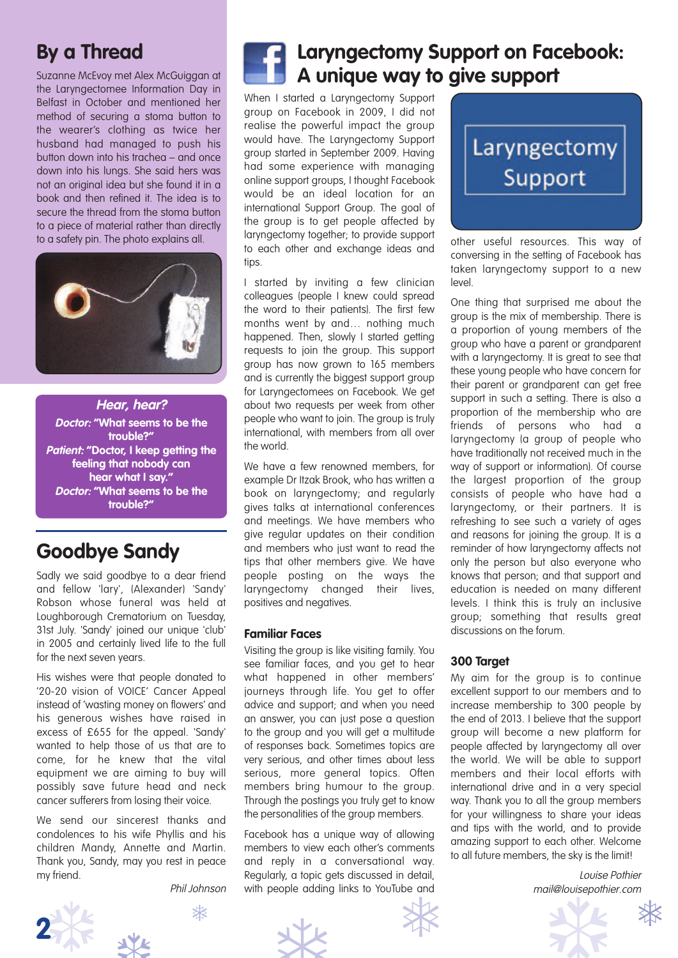### **By a Thread**

Suzanne McEvoy met Alex McGuiggan at the Laryngectomee Information Day in Belfast in October and mentioned her method of securing a stoma button to the wearer's clothing as twice her husband had managed to push his button down into his trachea – and once down into his lungs. She said hers was not an original idea but she found it in a book and then refined it. The idea is to secure the thread from the stoma button to a piece of material rather than directly to a safety pin. The photo explains all.



**Hear, hear? Doctor: "What seems to be the trouble?" Patient: "Doctor, I keep getting the feeling that nobody can hear what I say." Doctor: "What seems to be the trouble?"**

### **Goodbye Sandy**

Sadly we said goodbye to a dear friend and fellow 'lary', (Alexander) 'Sandy' Robson whose funeral was held at Loughborough Crematorium on Tuesday, 31st July. 'Sandy' joined our unique 'club' in 2005 and certainly lived life to the full for the next seven years.

His wishes were that people donated to '20-20 vision of VOICE' Cancer Appeal instead of 'wasting money on flowers' and his generous wishes have raised in excess of £655 for the appeal. 'Sandy' wanted to help those of us that are to come, for he knew that the vital equipment we are aiming to buy will possibly save future head and neck cancer sufferers from losing their voice.

We send our sincerest thanks and condolences to his wife Phyllis and his children Mandy, Annette and Martin. Thank you, Sandy, may you rest in peace my friend.

Phil Johnson





### **Laryngectomy Support on Facebook: A unique way to give support**

When I started a Laryngectomy Support group on Facebook in 2009, I did not realise the powerful impact the group would have. The Laryngectomy Support group started in September 2009. Having had some experience with managing online support groups, I thought Facebook would be an ideal location for an international Support Group. The goal of the group is to get people affected by laryngectomy together; to provide support to each other and exchange ideas and tips.

I started by inviting a few clinician colleagues (people I knew could spread the word to their patients). The first few months went by and… nothing much happened. Then, slowly I started getting requests to join the group. This support group has now grown to 165 members and is currently the biggest support group for Laryngectomees on Facebook. We get about two requests per week from other people who want to join. The group is truly international, with members from all over the world.

We have a few renowned members, for example Dr Itzak Brook, who has written a book on laryngectomy; and regularly gives talks at international conferences and meetings. We have members who give regular updates on their condition and members who just want to read the tips that other members give. We have people posting on the ways the laryngectomy changed their lives, positives and negatives.

#### **Familiar Faces**

Visiting the group is like visiting family. You see familiar faces, and you get to hear what happened in other members' journeys through life. You get to offer advice and support; and when you need an answer, you can just pose a question to the group and you will get a multitude of responses back. Sometimes topics are very serious, and other times about less serious, more general topics. Often members bring humour to the group. Through the postings you truly get to know the personalities of the group members.

Facebook has a unique way of allowing members to view each other's comments and reply in a conversational way. Regularly, a topic gets discussed in detail, with people adding links to YouTube and



other useful resources. This way of conversing in the setting of Facebook has taken laryngectomy support to a new level.

One thing that surprised me about the group is the mix of membership. There is a proportion of young members of the group who have a parent or grandparent with a laryngectomy. It is great to see that these young people who have concern for their parent or grandparent can get free support in such a setting. There is also a proportion of the membership who are friends of persons who had a laryngectomy (a group of people who have traditionally not received much in the way of support or information). Of course the largest proportion of the group consists of people who have had a laryngectomy, or their partners. It is refreshing to see such a variety of ages and reasons for joining the group. It is a reminder of how laryngectomy affects not only the person but also everyone who knows that person; and that support and education is needed on many different levels. I think this is truly an inclusive group; something that results great discussions on the forum.

#### **300 Target**

My aim for the group is to continue excellent support to our members and to increase membership to 300 people by the end of 2013. I believe that the support group will become a new platform for people affected by laryngectomy all over the world. We will be able to support members and their local efforts with international drive and in a very special way. Thank you to all the group members for your willingness to share your ideas and tips with the world, and to provide amazing support to each other. Welcome to all future members, the sky is the limit!

> Louise Pothier mail@louisepothier.com

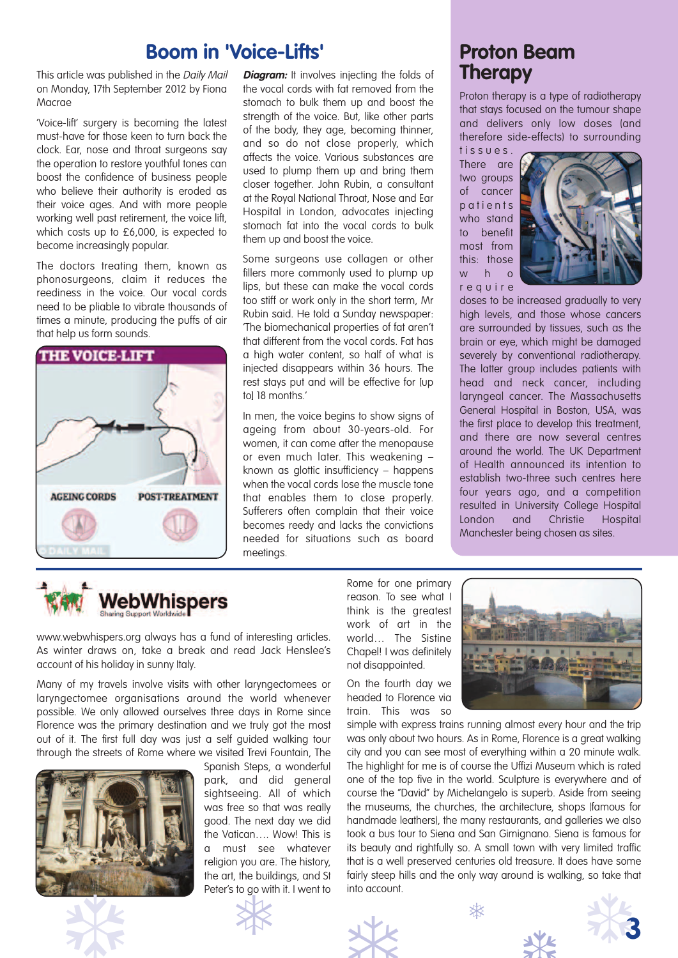### **Boom** in 'Voice-Lifts' **Proton** Beam

This article was published in the Daily Mail on Monday, 17th September 2012 by Fiona Macrae

'Voice-lift' surgery is becoming the latest must-have for those keen to turn back the clock. Ear, nose and throat surgeons say the operation to restore youthful tones can boost the confidence of business people who believe their authority is eroded as their voice ages. And with more people working well past retirement, the voice lift, which costs up to £6,000, is expected to become increasingly popular.

The doctors treating them, known as phonosurgeons, claim it reduces the reediness in the voice. Our vocal cords need to be pliable to vibrate thousands of times a minute, producing the puffs of air that help us form sounds.



**Diagram:** It involves injecting the folds of the vocal cords with fat removed from the stomach to bulk them up and boost the strength of the voice. But, like other parts of the body, they age, becoming thinner, and so do not close properly, which affects the voice. Various substances are used to plump them up and bring them closer together. John Rubin, a consultant at the Royal National Throat, Nose and Ear Hospital in London, advocates injecting stomach fat into the vocal cords to bulk them up and boost the voice.

Some surgeons use collagen or other fillers more commonly used to plump up lips, but these can make the vocal cords too stiff or work only in the short term, Mr Rubin said. He told a Sunday newspaper: 'The biomechanical properties of fat aren't that different from the vocal cords. Fat has a high water content, so half of what is injected disappears within 36 hours. The rest stays put and will be effective for [up tol 18 months.'

In men, the voice begins to show signs of ageing from about 30-years-old. For women, it can come after the menopause or even much later. This weakening – known as glottic insufficiency – happens when the vocal cords lose the muscle tone that enables them to close properly. Sufferers often complain that their voice becomes reedy and lacks the convictions needed for situations such as board meetings.

## **Therapy**

Proton therapy is a type of radiotherapy that stays focused on the tumour shape and delivers only low doses (and therefore side-effects) to surrounding

t i s s u e s . There are two groups of cancer patients who stand to benefit most from this: those w h o r e q u i r e



doses to be increased gradually to very high levels, and those whose cancers are surrounded by tissues, such as the brain or eye, which might be damaged severely by conventional radiotherapy. The latter group includes patients with head and neck cancer, including laryngeal cancer. The Massachusetts General Hospital in Boston, USA, was the first place to develop this treatment, and there are now several centres around the world. The UK Department of Health announced its intention to establish two-three such centres here four years ago, and a competition resulted in University College Hospital London and Christie Hospital Manchester being chosen as sites.



www.webwhispers.org always has a fund of interesting articles. As winter draws on, take a break and read Jack Henslee's account of his holiday in sunny Italy.

Many of my travels involve visits with other laryngectomees or laryngectomee organisations around the world whenever possible. We only allowed ourselves three days in Rome since Florence was the primary destination and we truly got the most out of it. The first full day was just a self guided walking tour through the streets of Rome where we visited Trevi Fountain, The





Spanish Steps, a wonderful park, and did general sightseeing. All of which was free so that was really good. The next day we did the Vatican…. Wow! This is a must see whatever religion you are. The history, the art, the buildings, and St Peter's to go with it. I went to



Rome for one primary reason. To see what I think is the greatest work of art in the world… The Sistine Chapel! I was definitely not disappointed.

On the fourth day we headed to Florence via train. This was so



simple with express trains running almost every hour and the trip was only about two hours. As in Rome, Florence is a great walking city and you can see most of everything within a 20 minute walk. The highlight for me is of course the Uffizi Museum which is rated one of the top five in the world. Sculpture is everywhere and of course the "David" by Michelangelo is superb. Aside from seeing the museums, the churches, the architecture, shops (famous for handmade leathers), the many restaurants, and galleries we also took a bus tour to Siena and San Gimignano. Siena is famous for its beauty and rightfully so. A small town with very limited traffic that is a well preserved centuries old treasure. It does have some fairly steep hills and the only way around is walking, so take that into account.



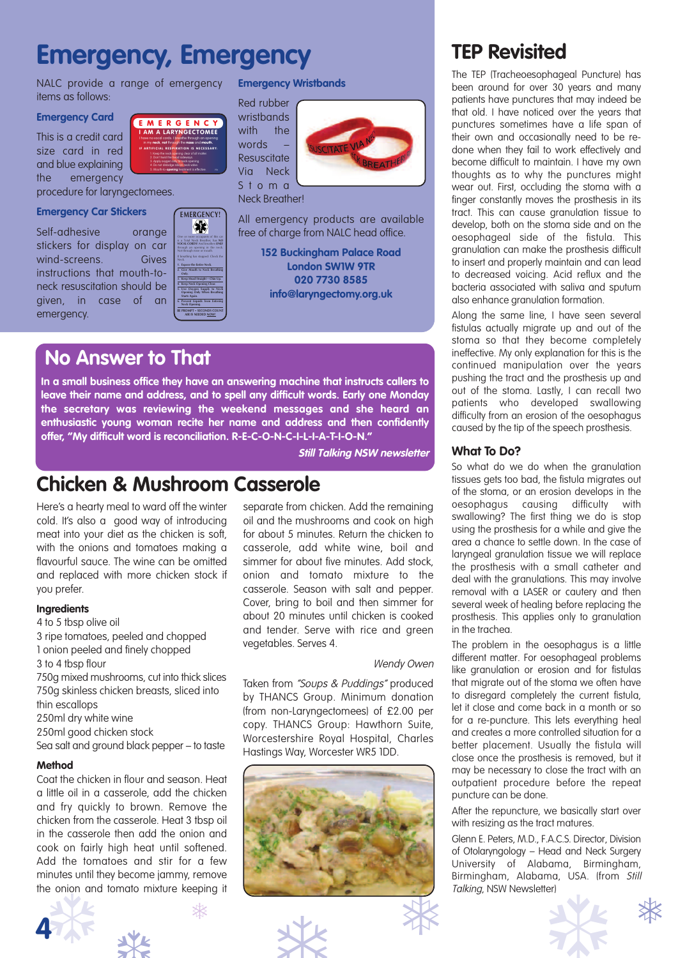### **Emergency, Emergency**

**E MERGENCY I AM A LARYNGECTOMEE** I have no vocal cords. I breathe through an opening in my **neck**, **not** through the **nose** and **mouth. I F ARTIFICIAL RESPIRATION IS NECESSARY:** 1. Keep the neck opening clear of all matter. 2. Don't twist the head sideways. 3. Apply oxygen only to neck opening. 4. Do not dislodge silicon neck valve. **5. Mouth-to-opening** treatment is effective. PTO

NALC provide a range of emergency items as follows:

#### **Emergency Card**

This is a credit card size card in red and blue explaining the emergency

procedure for laryngectomees.

#### **Emergency Car Stickers**

Self-adhesive orange stickers for display on car wind-screens. Gives instructions that mouth-toneck resuscitation should be given, in case of an emergency.



**1. Expose the Entire Neck. 2. Give Mouth to Neck Breathing Only. 3. Keep Head Straight – Chin Up. 4. Keep Neck Opening Clear. 5. Use Oxygen Supply to Neck Opening Only When Breathing Starts Again. 6. Prevent Liquids from Entering Neck Opening. BE PROMPT – SECONDS COUNT AIR IS NEEDED NOW!**

#### **Emergency Wristbands**

Red rubber wristbands with the words Resuscitate Via Neck S t o m a



Neck Breather!

All emergency products are available free of charge from NALC head office.

> **152 Buckingham Palace Road London SW1W 9TR 020 7730 8585 info@laryngectomy.org.uk**

### **No Answer to That**

**In a small business office they have an answering machine that instructs callers to leave their name and address, and to spell any difficult words. Early one Monday the secretary was reviewing the weekend messages and she heard an enthusiastic young woman recite her name and address and then confidently offer, "My difficult word is reconciliation. R-E-C-O-N-C-I-L-I-A-T-I-O-N."**

**Still Talking NSW newsletter**

### **Chicken & Mushroom Casserole**

Here's a hearty meal to ward off the winter cold. It's also a good way of introducing meat into your diet as the chicken is soft, with the onions and tomatoes making a flavourful sauce. The wine can be omitted and replaced with more chicken stock if you prefer.

#### **Ingredients**

- 4 to 5 tbsp olive oil
- 3 ripe tomatoes, peeled and chopped
- 1 onion peeled and finely chopped
- 3 to 4 tbsp flour

750g mixed mushrooms, cut into thick slices 750g skinless chicken breasts, sliced into thin escallops

- 250ml dry white wine
- 250ml good chicken stock
- Sea salt and ground black pepper to taste

#### **Method**

Coat the chicken in flour and season. Heat a little oil in a casserole, add the chicken and fry quickly to brown. Remove the chicken from the casserole. Heat 3 tbsp oil in the casserole then add the onion and cook on fairly high heat until softened. Add the tomatoes and stir for a few minutes until they become jammy, remove the onion and tomato mixture keeping it





separate from chicken. Add the remaining oil and the mushrooms and cook on high for about 5 minutes. Return the chicken to casserole, add white wine, boil and simmer for about five minutes. Add stock, onion and tomato mixture to the casserole. Season with salt and pepper. Cover, bring to boil and then simmer for about 20 minutes until chicken is cooked and tender. Serve with rice and green vegetables. Serves 4.

#### Wendy Owen

Taken from "Soups & Puddings" produced by THANCS Group. Minimum donation (from non-Laryngectomees) of £2.00 per copy. THANCS Group: Hawthorn Suite, Worcestershire Royal Hospital, Charles Hastings Way, Worcester WR5 1DD.



### **TEP Revisited**

The TEP (Tracheoesophageal Puncture) has been around for over 30 years and many patients have punctures that may indeed be that old. I have noticed over the years that punctures sometimes have a life span of their own and occasionally need to be redone when they fail to work effectively and become difficult to maintain. I have my own thoughts as to why the punctures might wear out. First, occluding the stoma with a finger constantly moves the prosthesis in its tract. This can cause granulation tissue to develop, both on the stoma side and on the oesophageal side of the fistula. This granulation can make the prosthesis difficult to insert and properly maintain and can lead to decreased voicing. Acid reflux and the bacteria associated with saliva and sputum also enhance granulation formation.

Along the same line, I have seen several fistulas actually migrate up and out of the stoma so that they become completely ineffective. My only explanation for this is the continued manipulation over the years pushing the tract and the prosthesis up and out of the stoma. Lastly, I can recall two patients who developed swallowing difficulty from an erosion of the oesophagus caused by the tip of the speech prosthesis.

#### **What To Do?**

So what do we do when the granulation tissues gets too bad, the fistula migrates out of the stoma, or an erosion develops in the oesophagus causing difficulty with swallowing? The first thing we do is stop using the prosthesis for a while and give the area a chance to settle down. In the case of laryngeal granulation tissue we will replace the prosthesis with a small catheter and deal with the granulations. This may involve removal with a LASER or cautery and then several week of healing before replacing the prosthesis. This applies only to granulation in the trachea.

The problem in the oesophagus is a little different matter. For oesophageal problems like granulation or erosion and for fistulas that migrate out of the stoma we often have to disregard completely the current fistula, let it close and come back in a month or so for a re-puncture. This lets everything heal and creates a more controlled situation for a better placement. Usually the fistula will close once the prosthesis is removed, but it may be necessary to close the tract with an outpatient procedure before the repeat puncture can be done.

After the repuncture, we basically start over with resizing as the tract matures.

Glenn E. Peters, M.D., F.A.C.S. Director, Division of Otolaryngology – Head and Neck Surgery University of Alabama, Birmingham, Birmingham, Alabama, USA. (from Still Talking, NSW Newsletter)

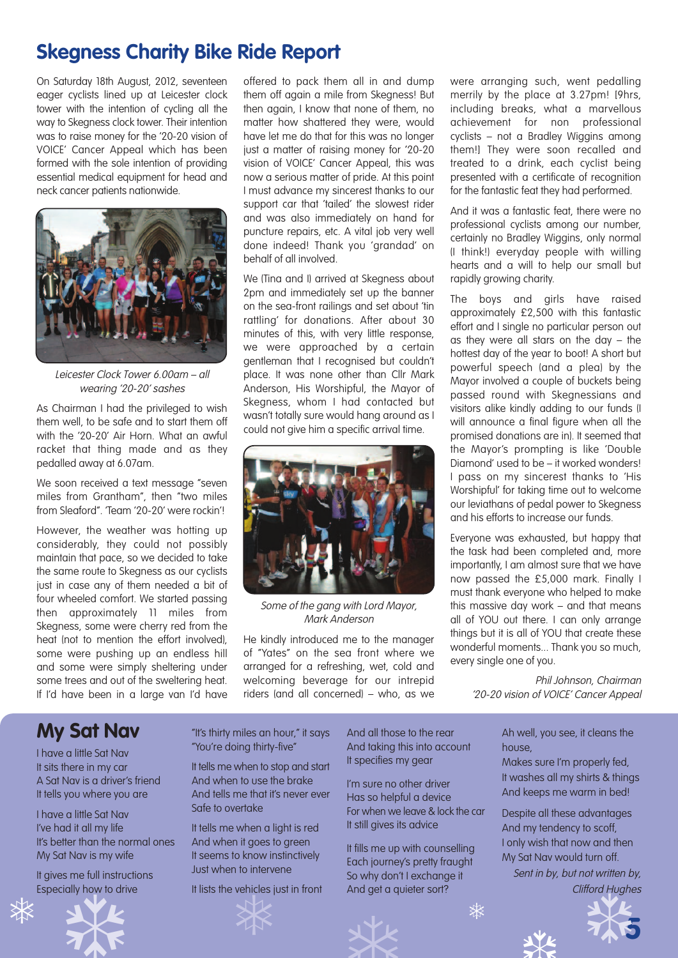### **Skegness Charity Bike Ride Report**

On Saturday 18th August, 2012, seventeen eager cyclists lined up at Leicester clock tower with the intention of cycling all the way to Skegness clock tower. Their intention was to raise money for the '20-20 vision of VOICE' Cancer Appeal which has been formed with the sole intention of providing essential medical equipment for head and neck cancer patients nationwide.



Leicester Clock Tower 6.00am – all wearing '20-20' sashes

As Chairman I had the privileged to wish them well, to be safe and to start them off with the '20-20' Air Horn. What an awful racket that thing made and as they pedalled away at 6.07am.

We soon received a text message "seven miles from Grantham", then "two miles from Sleaford". 'Team '20-20' were rockin'!

However, the weather was hotting up considerably, they could not possibly maintain that pace, so we decided to take the same route to Skegness as our cyclists just in case any of them needed a bit of four wheeled comfort. We started passing then approximately 11 miles from Skegness, some were cherry red from the heat (not to mention the effort involved), some were pushing up an endless hill and some were simply sheltering under some trees and out of the sweltering heat. If I'd have been in a large van I'd have offered to pack them all in and dump them off again a mile from Skegness! But then again, I know that none of them, no matter how shattered they were, would have let me do that for this was no longer just a matter of raising money for '20-20 vision of VOICE' Cancer Appeal, this was now a serious matter of pride. At this point I must advance my sincerest thanks to our support car that 'tailed' the slowest rider and was also immediately on hand for puncture repairs, etc. A vital job very well done indeed! Thank you 'grandad' on behalf of all involved.

We (Tina and I) arrived at Skegness about 2pm and immediately set up the banner on the sea-front railings and set about 'tin rattling' for donations. After about 30 minutes of this, with very little response, we were approached by a certain gentleman that I recognised but couldn't place. It was none other than Cllr Mark Anderson, His Worshipful, the Mayor of Skegness, whom I had contacted but wasn't totally sure would hang around as I could not give him a specific arrival time.



Some of the gang with Lord Mayor, Mark Anderson

He kindly introduced me to the manager of "Yates" on the sea front where we arranged for a refreshing, wet, cold and welcoming beverage for our intrepid riders (and all concerned) – who, as we

were arranging such, went pedalling merrily by the place at 3.27pm! [9hrs, including breaks, what a marvellous achievement for non professional cyclists – not a Bradley Wiggins among them!] They were soon recalled and treated to a drink, each cyclist being presented with a certificate of recognition for the fantastic feat they had performed.

And it was a fantastic feat, there were no professional cyclists among our number, certainly no Bradley Wiggins, only normal (I think!) everyday people with willing hearts and a will to help our small but rapidly growing charity.

The boys and girls have raised approximately £2,500 with this fantastic effort and I single no particular person out as they were all stars on the day – the hottest day of the year to boot! A short but powerful speech (and a plea) by the Mayor involved a couple of buckets being passed round with Skegnessians and visitors alike kindly adding to our funds (I will announce a final figure when all the promised donations are in). It seemed that the Mayor's prompting is like 'Double Diamond' used to be – it worked wonders! I pass on my sincerest thanks to 'His Worshipful' for taking time out to welcome our leviathans of pedal power to Skegness and his efforts to increase our funds.

Everyone was exhausted, but happy that the task had been completed and, more importantly, I am almost sure that we have now passed the £5,000 mark. Finally I must thank everyone who helped to make this massive day work – and that means all of YOU out there. I can only arrange things but it is all of YOU that create these wonderful moments... Thank you so much, every single one of you.

Phil Johnson, Chairman '20-20 vision of VOICE' Cancer Appeal

house,

Ah well, you see, it cleans the

Makes sure I'm properly fed, It washes all my shirts & things And keeps me warm in bed! Despite all these advantages And my tendency to scoff, I only wish that now and then My Sat Nav would turn off.

Sent in by, but not written by,

### **My Sat Nav**

I have a little Sat Nav It sits there in my car A Sat Nav is a driver's friend It tells you where you are

I have a little Sat Nav I've had it all my life It's better than the normal ones My Sat Nav is my wife

It gives me full instructions Especially how to drive



"It's thirty miles an hour," it says "You're doing thirty-five"

It tells me when to stop and start And when to use the brake And tells me that it's never ever Safe to overtake

It tells me when a light is red And when it goes to green It seems to know instinctively Just when to intervene

It lists the vehicles just in front



And all those to the rear And taking this into account It specifies my gear

I'm sure no other driver Has so helpful a device For when we leave & lock the car It still gives its advice

It fills me up with counselling Each journey's pretty fraught So why don't I exchange it And get a quieter sort?

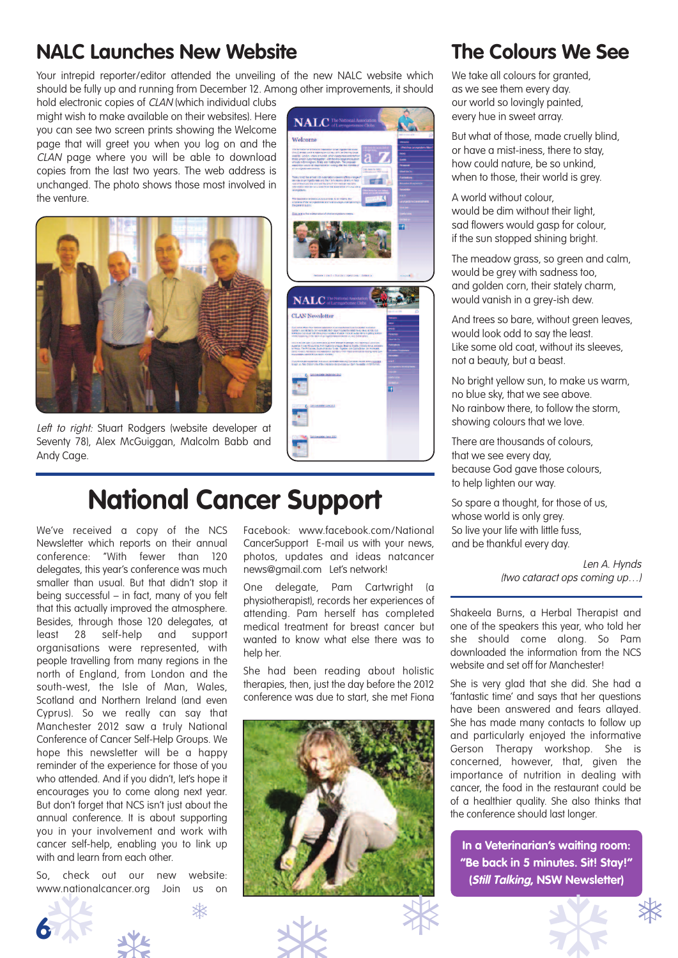### **NALC Launches New Website**

Your intrepid reporter/editor attended the unveiling of the new NALC website which should be fully up and running from December 12. Among other improvements, it should

hold electronic copies of CLAN (which individual clubs might wish to make available on their websites). Here you can see two screen prints showing the Welcome page that will greet you when you log on and the CLAN page where you will be able to download copies from the last two years. The web address is unchanged. The photo shows those most involved in the venture.



Left to right: Stuart Rodgers (website developer at Seventy 78), Alex McGuiggan, Malcolm Babb and Andy Cage.



We've received a copy of the NCS Newsletter which reports on their annual conference: "With fewer than 120 delegates, this year's conference was much smaller than usual. But that didn't stop it being successful – in fact, many of you felt that this actually improved the atmosphere. Besides, through those 120 delegates, at least 28 self-help and support organisations were represented, with people travelling from many regions in the north of England, from London and the south-west, the Isle of Man, Wales, Scotland and Northern Ireland (and even Cyprus). So we really can say that Manchester 2012 saw a truly National Conference of Cancer Self-Help Groups. We hope this newsletter will be a happy reminder of the experience for those of you who attended. And if you didn't, let's hope it encourages you to come along next year. But don't forget that NCS isn't just about the annual conference. It is about supporting you in your involvement and work with cancer self-help, enabling you to link up with and learn from each other.

So, check out our new website: www.nationalcancer.org Join us on

❆



**NALC**<sup>2</sup> Malanana

### **National Cancer Support**

Facebook: www.facebook.com/National CancerSupport E-mail us with your news, photos, updates and ideas natcancer news@gmail.com Let's network!

One delegate, Pam Cartwright (a physiotherapist), records her experiences of attending. Pam herself has completed medical treatment for breast cancer but wanted to know what else there was to help her.

She had been reading about holistic therapies, then, just the day before the 2012 conference was due to start, she met Fiona



### **The Colours We See**

We take all colours for granted, as we see them every day. our world so lovingly painted, every hue in sweet array.

But what of those, made cruelly blind, or have a mist-iness, there to stay, how could nature, be so unkind, when to those, their world is grey.

A world without colour, would be dim without their light, sad flowers would gasp for colour, if the sun stopped shining bright.

The meadow grass, so green and calm, would be grey with sadness too, and golden corn, their stately charm, would vanish in a grey-ish dew.

And trees so bare, without green leaves, would look odd to say the least. Like some old coat, without its sleeves, not a beauty, but a beast.

No bright yellow sun, to make us warm, no blue sky, that we see above. No rainbow there, to follow the storm, showing colours that we love.

There are thousands of colours, that we see every day, because God gave those colours, to help lighten our way.

So spare a thought, for those of us, whose world is only grey. So live your life with little fuss, and be thankful every day.

> Len A. Hynds (two cataract ops coming up…)

Shakeela Burns, a Herbal Therapist and one of the speakers this year, who told her she should come along. So Pam downloaded the information from the NCS website and set off for Manchester!

She is very glad that she did. She had a 'fantastic time' and says that her questions have been answered and fears allayed. She has made many contacts to follow up and particularly enjoyed the informative Gerson Therapy workshop. She is concerned, however, that, given the importance of nutrition in dealing with cancer, the food in the restaurant could be of a healthier quality. She also thinks that the conference should last longer.

**In a Veterinarian's waiting room: "Be back in 5 minutes. Sit! Stay!" (Still Talking, NSW Newsletter)**

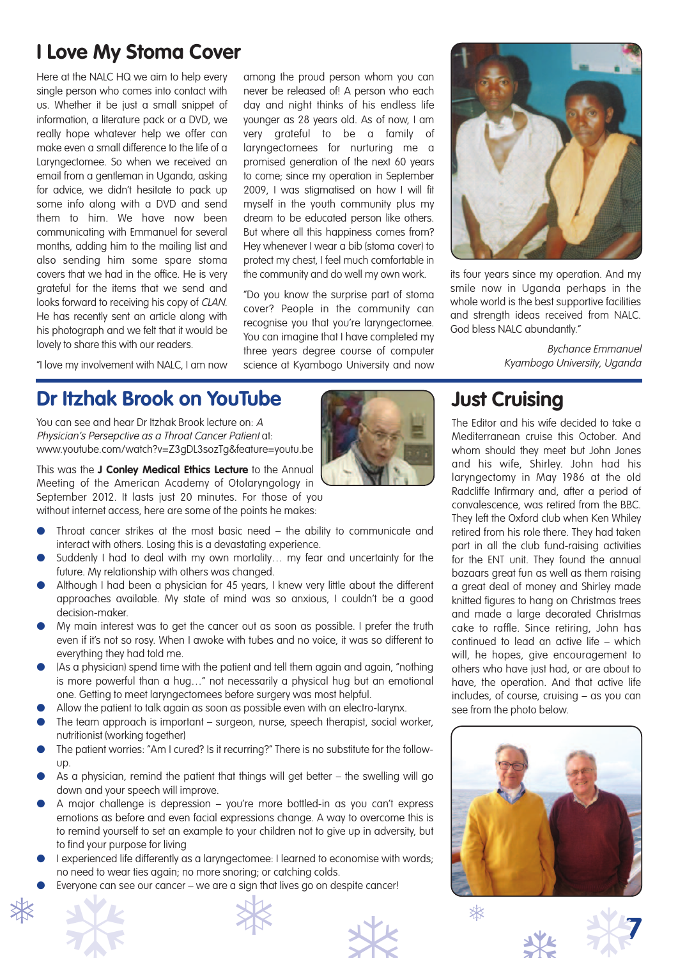### **I Love My Stoma Cover**

Here at the NALC HQ we aim to help every single person who comes into contact with us. Whether it be just a small snippet of information, a literature pack or a DVD, we really hope whatever help we offer can make even a small difference to the life of a Laryngectomee. So when we received an email from a gentleman in Uganda, asking for advice, we didn't hesitate to pack up some info along with a DVD and send them to him. We have now been communicating with Emmanuel for several months, adding him to the mailing list and also sending him some spare stoma covers that we had in the office. He is very grateful for the items that we send and looks forward to receiving his copy of CLAN. He has recently sent an article along with his photograph and we felt that it would be lovely to share this with our readers.

among the proud person whom you can never be released of! A person who each day and night thinks of his endless life younger as 28 years old. As of now, I am very grateful to be a family of laryngectomees for nurturing me a promised generation of the next 60 years to come; since my operation in September 2009, I was stigmatised on how I will fit myself in the youth community plus my dream to be educated person like others. But where all this happiness comes from? Hey whenever I wear a bib (stoma cover) to protect my chest, I feel much comfortable in the community and do well my own work.

"Do you know the surprise part of stoma cover? People in the community can recognise you that you're laryngectomee. You can imagine that I have completed my three years degree course of computer science at Kyambogo University and now



its four years since my operation. And my smile now in Uganda perhaps in the whole world is the best supportive facilities and strength ideas received from NALC. God bless NALC abundantly."

> Bychance Emmanuel Kyambogo University, Uganda

"I love my involvement with NALC, I am now

### **Dr Itzhak Brook on YouTube**

You can see and hear Dr Itzhak Brook lecture on: A Physician's Persepctive as <sup>a</sup> Throat Cancer Patient at: www.youtube.com/watch?v=Z3gDL3sozTg&feature=youtu.be

This was the **J Conley Medical Ethics Lecture** to the Annual Meeting of the American Academy of Otolaryngology in September 2012. It lasts just 20 minutes. For those of you without internet access, here are some of the points he makes:

- Throat cancer strikes at the most basic need the ability to communicate and interact with others. Losing this is a devastating experience.
- Suddenly I had to deal with my own mortality... my fear and uncertainty for the future. My relationship with others was changed.
- Although I had been a physician for 45 years, I knew very little about the different approaches available. My state of mind was so anxious, I couldn't be a good decision-maker.
- My main interest was to get the cancer out as soon as possible. I prefer the truth even if it's not so rosy. When I awoke with tubes and no voice, it was so different to everything they had told me.
- (As a physician) spend time with the patient and tell them again and again, "nothing is more powerful than a hug…" not necessarily a physical hug but an emotional one. Getting to meet laryngectomees before surgery was most helpful.
- Allow the patient to talk again as soon as possible even with an electro-larynx.
- The team approach is important surgeon, nurse, speech therapist, social worker, nutritionist (working together)
- The patient worries: "Am I cured? Is it recurring?" There is no substitute for the followup.
- As a physician, remind the patient that things will get better  $-$  the swelling will go down and your speech will improve.
- A major challenge is depression you're more bottled-in as you can't express emotions as before and even facial expressions change. A way to overcome this is to remind yourself to set an example to your children not to give up in adversity, but to find your purpose for living
- I experienced life differently as a laryngectomee: I learned to economise with words; no need to wear ties again; no more snoring; or catching colds.
- Everyone can see our cancer we are a sign that lives go on despite cancer!







### **Just Cruising**

The Editor and his wife decided to take a Mediterranean cruise this October. And whom should they meet but John Jones and his wife, Shirley. John had his laryngectomy in May 1986 at the old Radcliffe Infirmary and, after a period of convalescence, was retired from the BBC. They left the Oxford club when Ken Whiley retired from his role there. They had taken part in all the club fund-raising activities for the ENT unit. They found the annual bazaars great fun as well as them raising a great deal of money and Shirley made knitted figures to hang on Christmas trees and made a large decorated Christmas cake to raffle. Since retiring, John has continued to lead an active life – which will, he hopes, give encouragement to others who have just had, or are about to have, the operation. And that active life includes, of course, cruising – as you can see from the photo below.